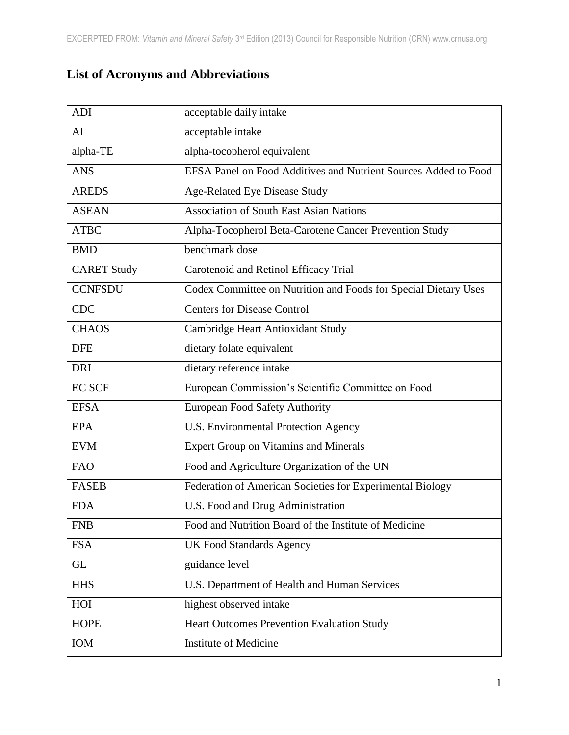## **List of Acronyms and Abbreviations**

| <b>ADI</b>         | acceptable daily intake                                         |
|--------------------|-----------------------------------------------------------------|
| AI                 | acceptable intake                                               |
| alpha-TE           | alpha-tocopherol equivalent                                     |
| <b>ANS</b>         | EFSA Panel on Food Additives and Nutrient Sources Added to Food |
| <b>AREDS</b>       | Age-Related Eye Disease Study                                   |
| <b>ASEAN</b>       | <b>Association of South East Asian Nations</b>                  |
| <b>ATBC</b>        | Alpha-Tocopherol Beta-Carotene Cancer Prevention Study          |
| <b>BMD</b>         | benchmark dose                                                  |
| <b>CARET Study</b> | Carotenoid and Retinol Efficacy Trial                           |
| <b>CCNFSDU</b>     | Codex Committee on Nutrition and Foods for Special Dietary Uses |
| <b>CDC</b>         | <b>Centers for Disease Control</b>                              |
| <b>CHAOS</b>       | Cambridge Heart Antioxidant Study                               |
| <b>DFE</b>         | dietary folate equivalent                                       |
| <b>DRI</b>         | dietary reference intake                                        |
| <b>EC SCF</b>      | European Commission's Scientific Committee on Food              |
| <b>EFSA</b>        | European Food Safety Authority                                  |
| <b>EPA</b>         | U.S. Environmental Protection Agency                            |
| <b>EVM</b>         | <b>Expert Group on Vitamins and Minerals</b>                    |
| <b>FAO</b>         | Food and Agriculture Organization of the UN                     |
| <b>FASEB</b>       | Federation of American Societies for Experimental Biology       |
| <b>FDA</b>         | U.S. Food and Drug Administration                               |
| <b>FNB</b>         | Food and Nutrition Board of the Institute of Medicine           |
| <b>FSA</b>         | <b>UK Food Standards Agency</b>                                 |
| <b>GL</b>          | guidance level                                                  |
| <b>HHS</b>         | U.S. Department of Health and Human Services                    |
| HOI                | highest observed intake                                         |
| <b>HOPE</b>        | <b>Heart Outcomes Prevention Evaluation Study</b>               |
| IOM                | <b>Institute of Medicine</b>                                    |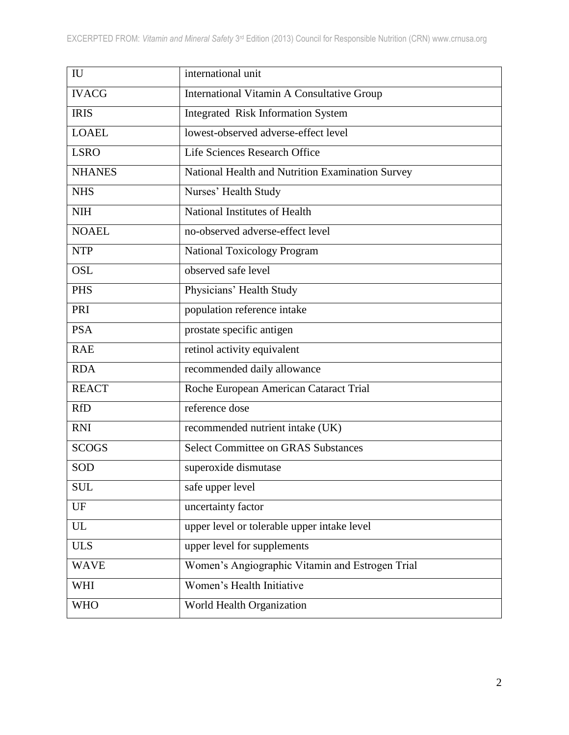| IU            | international unit                                |
|---------------|---------------------------------------------------|
| <b>IVACG</b>  | <b>International Vitamin A Consultative Group</b> |
| <b>IRIS</b>   | Integrated Risk Information System                |
| <b>LOAEL</b>  | lowest-observed adverse-effect level              |
| <b>LSRO</b>   | Life Sciences Research Office                     |
| <b>NHANES</b> | National Health and Nutrition Examination Survey  |
| <b>NHS</b>    | Nurses' Health Study                              |
| <b>NIH</b>    | National Institutes of Health                     |
| <b>NOAEL</b>  | no-observed adverse-effect level                  |
| <b>NTP</b>    | <b>National Toxicology Program</b>                |
| <b>OSL</b>    | observed safe level                               |
| <b>PHS</b>    | Physicians' Health Study                          |
| PRI           | population reference intake                       |
| <b>PSA</b>    | prostate specific antigen                         |
| <b>RAE</b>    | retinol activity equivalent                       |
| <b>RDA</b>    | recommended daily allowance                       |
| <b>REACT</b>  | Roche European American Cataract Trial            |
| <b>RfD</b>    | reference dose                                    |
| <b>RNI</b>    | recommended nutrient intake (UK)                  |
| <b>SCOGS</b>  | <b>Select Committee on GRAS Substances</b>        |
| SOD           | superoxide dismutase                              |
| <b>SUL</b>    | safe upper level                                  |
| UF            | uncertainty factor                                |
| <b>UL</b>     | upper level or tolerable upper intake level       |
| <b>ULS</b>    | upper level for supplements                       |
| <b>WAVE</b>   | Women's Angiographic Vitamin and Estrogen Trial   |
| WHI           | Women's Health Initiative                         |
| <b>WHO</b>    | World Health Organization                         |